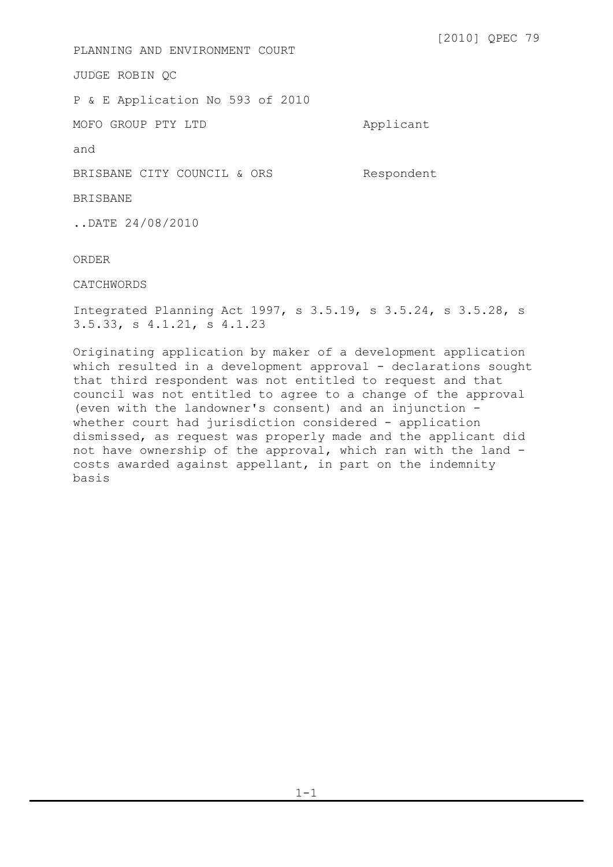[2010] QPEC 79 PLANNING AND ENVIRONMENT COURT JUDGE ROBIN QC P & E Application No 593 of 2010 MOFO GROUP PTY LTD Applicant and BRISBANE CITY COUNCIL & ORS Respondent BRISBANE ..DATE 24/08/2010 ORDER CATCHWORDS Integrated Planning Act 1997, s 3.5.19, s 3.5.24, s 3.5.28, s 3.5.33, s 4.1.21, s 4.1.23

Originating application by maker of a development application which resulted in a development approval - declarations sought that third respondent was not entitled to request and that council was not entitled to agree to a change of the approval (even with the landowner's consent) and an injunction whether court had jurisdiction considered - application dismissed, as request was properly made and the applicant did not have ownership of the approval, which ran with the land costs awarded against appellant, in part on the indemnity basis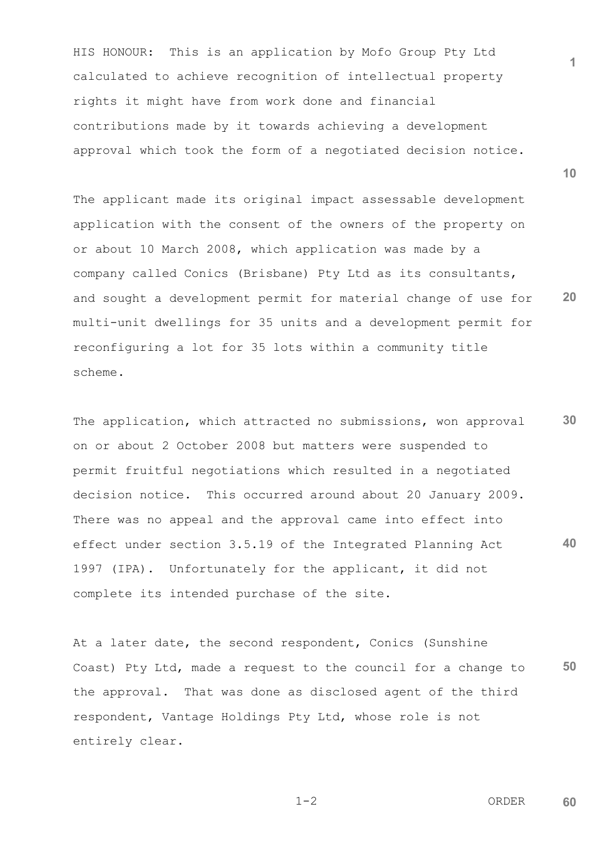HIS HONOUR: This is an application by Mofo Group Pty Ltd calculated to achieve recognition of intellectual property rights it might have from work done and financial contributions made by it towards achieving a development approval which took the form of a negotiated decision notice.

**20** The applicant made its original impact assessable development application with the consent of the owners of the property on or about 10 March 2008, which application was made by a company called Conics (Brisbane) Pty Ltd as its consultants, and sought a development permit for material change of use for multi-unit dwellings for 35 units and a development permit for reconfiguring a lot for 35 lots within a community title scheme.

**30 40** The application, which attracted no submissions, won approval on or about 2 October 2008 but matters were suspended to permit fruitful negotiations which resulted in a negotiated decision notice. This occurred around about 20 January 2009. There was no appeal and the approval came into effect into effect under section 3.5.19 of the Integrated Planning Act 1997 (IPA). Unfortunately for the applicant, it did not complete its intended purchase of the site.

**50** At a later date, the second respondent, Conics (Sunshine Coast) Pty Ltd, made a request to the council for a change to the approval. That was done as disclosed agent of the third respondent, Vantage Holdings Pty Ltd, whose role is not entirely clear.

$$
1-2
$$
 **ORDER 60**

**1**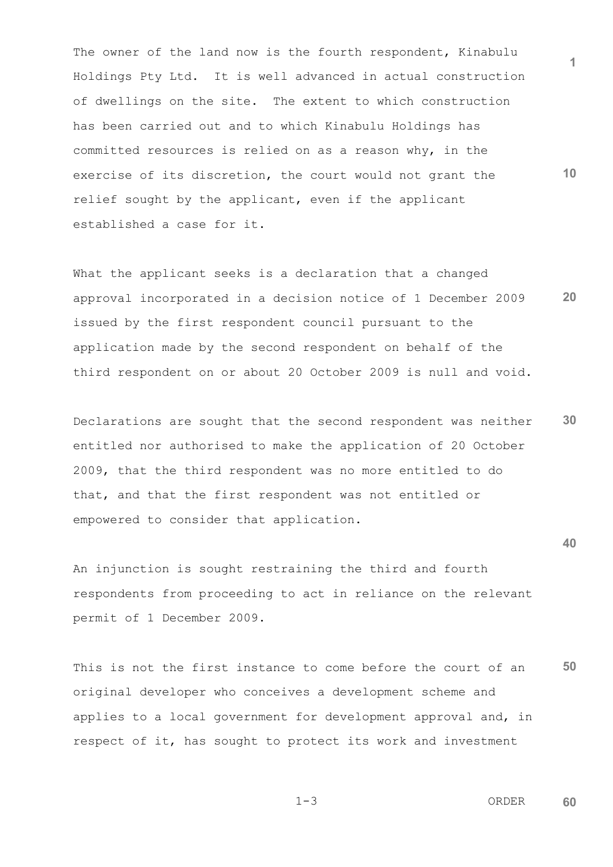The owner of the land now is the fourth respondent, Kinabulu Holdings Pty Ltd. It is well advanced in actual construction of dwellings on the site. The extent to which construction has been carried out and to which Kinabulu Holdings has committed resources is relied on as a reason why, in the exercise of its discretion, the court would not grant the relief sought by the applicant, even if the applicant established a case for it.

**20** What the applicant seeks is a declaration that a changed approval incorporated in a decision notice of 1 December 2009 issued by the first respondent council pursuant to the application made by the second respondent on behalf of the third respondent on or about 20 October 2009 is null and void.

**30** Declarations are sought that the second respondent was neither entitled nor authorised to make the application of 20 October 2009, that the third respondent was no more entitled to do that, and that the first respondent was not entitled or empowered to consider that application.

An injunction is sought restraining the third and fourth respondents from proceeding to act in reliance on the relevant permit of 1 December 2009.

**50** This is not the first instance to come before the court of an original developer who conceives a development scheme and applies to a local government for development approval and, in respect of it, has sought to protect its work and investment

 $1-3$  ORDER **60**

$$
1 - 3
$$

**1**

**40**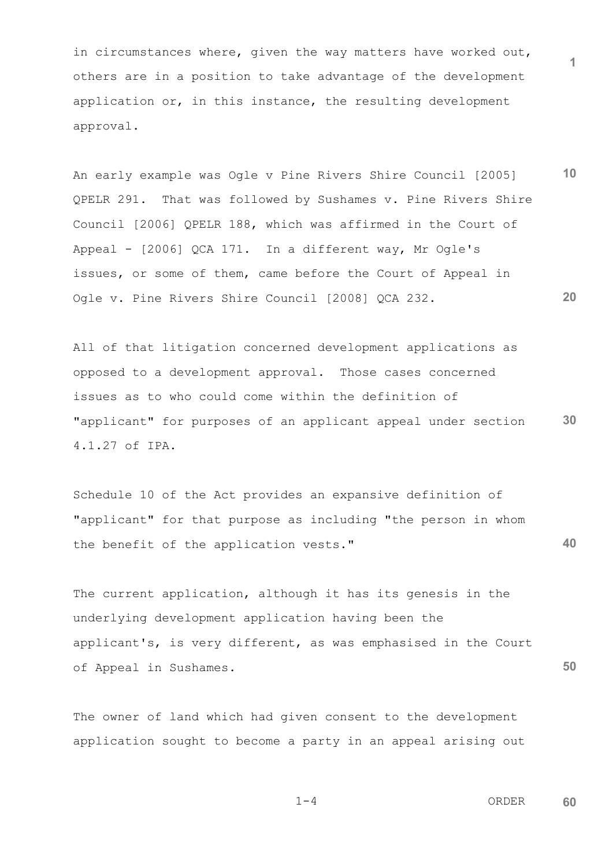in circumstances where, given the way matters have worked out, others are in a position to take advantage of the development application or, in this instance, the resulting development approval.

**10 20** An early example was Ogle v Pine Rivers Shire Council [2005] QPELR 291. That was followed by Sushames v. Pine Rivers Shire Council [2006] QPELR 188, which was affirmed in the Court of Appeal - [2006] QCA 171. In a different way, Mr Ogle's issues, or some of them, came before the Court of Appeal in Ogle v. Pine Rivers Shire Council [2008] QCA 232.

**30** All of that litigation concerned development applications as opposed to a development approval. Those cases concerned issues as to who could come within the definition of "applicant" for purposes of an applicant appeal under section 4.1.27 of IPA.

**40** Schedule 10 of the Act provides an expansive definition of "applicant" for that purpose as including "the person in whom the benefit of the application vests."

The current application, although it has its genesis in the underlying development application having been the applicant's, is very different, as was emphasised in the Court of Appeal in Sushames.

The owner of land which had given consent to the development application sought to become a party in an appeal arising out

$$
1-4
$$

 $1-4$  ORDER **60**

**50**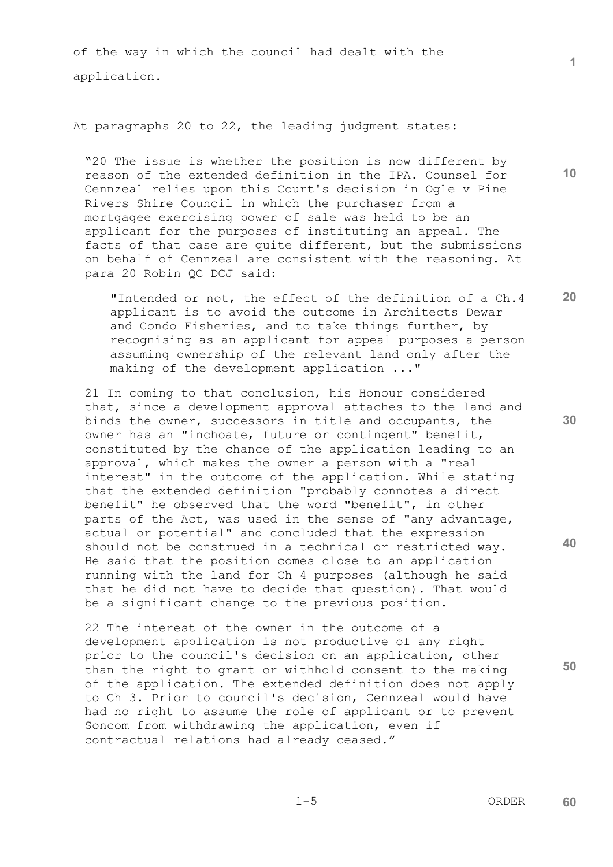of the way in which the council had dealt with the application.

## At paragraphs 20 to 22, the leading judgment states:

"20 The issue is whether the position is now different by reason of the extended definition in the IPA. Counsel for Cennzeal relies upon this Court's decision in Ogle v Pine Rivers Shire Council in which the purchaser from a mortgagee exercising power of sale was held to be an applicant for the purposes of instituting an appeal. The facts of that case are quite different, but the submissions on behalf of Cennzeal are consistent with the reasoning. At para 20 Robin QC DCJ said:

"Intended or not, the effect of the definition of a Ch.4 applicant is to avoid the outcome in Architects Dewar and Condo Fisheries, and to take things further, by recognising as an applicant for appeal purposes a person assuming ownership of the relevant land only after the making of the development application ..."

21 In coming to that conclusion, his Honour considered that, since a development approval attaches to the land and binds the owner, successors in title and occupants, the owner has an "inchoate, future or contingent" benefit, constituted by the chance of the application leading to an approval, which makes the owner a person with a "real interest" in the outcome of the application. While stating that the extended definition "probably connotes a direct benefit" he observed that the word "benefit", in other parts of the Act, was used in the sense of "any advantage, actual or potential" and concluded that the expression should not be construed in a technical or restricted way. He said that the position comes close to an application running with the land for Ch 4 purposes (although he said that he did not have to decide that question). That would be a significant change to the previous position.

22 The interest of the owner in the outcome of a development application is not productive of any right prior to the council's decision on an application, other than the right to grant or withhold consent to the making of the application. The extended definition does not apply to Ch 3. Prior to council's decision, Cennzeal would have had no right to assume the role of applicant or to prevent Soncom from withdrawing the application, even if contractual relations had already ceased."

**50**

**10**

**1**

**20**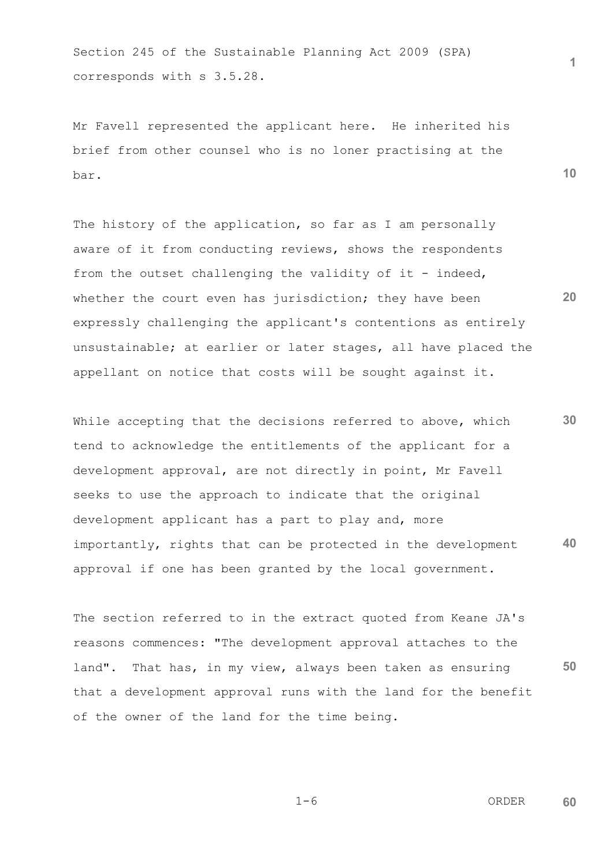Section 245 of the Sustainable Planning Act 2009 (SPA) corresponds with s 3.5.28.

Mr Favell represented the applicant here. He inherited his brief from other counsel who is no loner practising at the bar.

The history of the application, so far as I am personally aware of it from conducting reviews, shows the respondents from the outset challenging the validity of it - indeed, whether the court even has jurisdiction; they have been expressly challenging the applicant's contentions as entirely unsustainable; at earlier or later stages, all have placed the appellant on notice that costs will be sought against it.

**30 40** While accepting that the decisions referred to above, which tend to acknowledge the entitlements of the applicant for a development approval, are not directly in point, Mr Favell seeks to use the approach to indicate that the original development applicant has a part to play and, more importantly, rights that can be protected in the development approval if one has been granted by the local government.

**50** The section referred to in the extract quoted from Keane JA's reasons commences: "The development approval attaches to the land". That has, in my view, always been taken as ensuring that a development approval runs with the land for the benefit of the owner of the land for the time being.

 $1-6$  ORDER **60**

$$
1-6
$$

**1**

**10**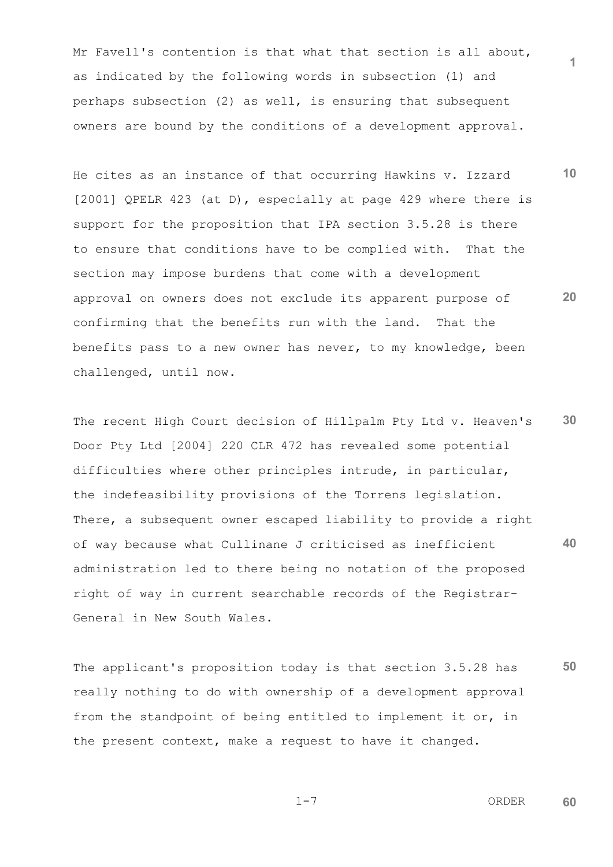Mr Favell's contention is that what that section is all about, as indicated by the following words in subsection (1) and perhaps subsection (2) as well, is ensuring that subsequent owners are bound by the conditions of a development approval.

**10 20** He cites as an instance of that occurring Hawkins v. Izzard [2001] QPELR 423 (at D), especially at page 429 where there is support for the proposition that IPA section 3.5.28 is there to ensure that conditions have to be complied with. That the section may impose burdens that come with a development approval on owners does not exclude its apparent purpose of confirming that the benefits run with the land. That the benefits pass to a new owner has never, to my knowledge, been challenged, until now.

**30 40** The recent High Court decision of Hillpalm Pty Ltd v. Heaven's Door Pty Ltd [2004] 220 CLR 472 has revealed some potential difficulties where other principles intrude, in particular, the indefeasibility provisions of the Torrens legislation. There, a subsequent owner escaped liability to provide a right of way because what Cullinane J criticised as inefficient administration led to there being no notation of the proposed right of way in current searchable records of the Registrar-General in New South Wales.

**50** The applicant's proposition today is that section 3.5.28 has really nothing to do with ownership of a development approval from the standpoint of being entitled to implement it or, in the present context, make a request to have it changed.

 $1-7$  ORDER **60**

$$
1-7
$$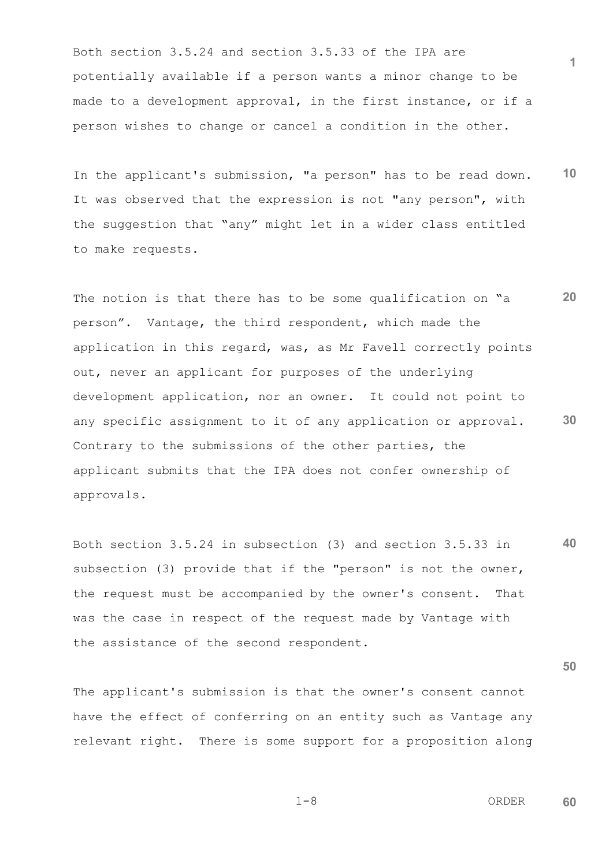Both section 3.5.24 and section 3.5.33 of the IPA are potentially available if a person wants a minor change to be made to a development approval, in the first instance, or if a person wishes to change or cancel a condition in the other.

**10** In the applicant's submission, "a person" has to be read down. It was observed that the expression is not "any person", with the suggestion that "any" might let in a wider class entitled to make requests.

**20 30** The notion is that there has to be some qualification on "a person". Vantage, the third respondent, which made the application in this regard, was, as Mr Favell correctly points out, never an applicant for purposes of the underlying development application, nor an owner. It could not point to any specific assignment to it of any application or approval. Contrary to the submissions of the other parties, the applicant submits that the IPA does not confer ownership of approvals.

**40** Both section 3.5.24 in subsection (3) and section 3.5.33 in subsection (3) provide that if the "person" is not the owner, the request must be accompanied by the owner's consent. That was the case in respect of the request made by Vantage with the assistance of the second respondent.

The applicant's submission is that the owner's consent cannot have the effect of conferring on an entity such as Vantage any relevant right. There is some support for a proposition along

 $1-8$  ORDER **60**

**1**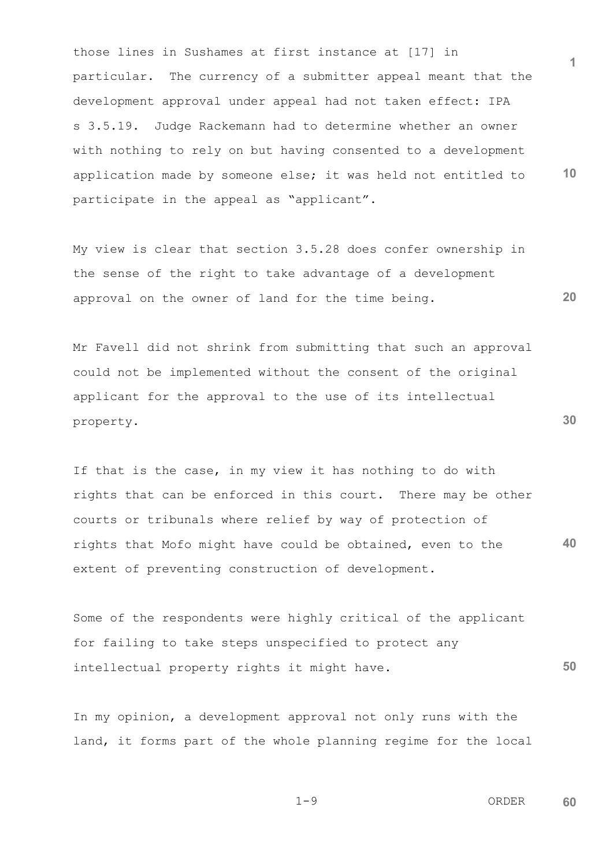**1 10** those lines in Sushames at first instance at [17] in particular. The currency of a submitter appeal meant that the development approval under appeal had not taken effect: IPA s 3.5.19. Judge Rackemann had to determine whether an owner with nothing to rely on but having consented to a development application made by someone else; it was held not entitled to participate in the appeal as "applicant".

My view is clear that section 3.5.28 does confer ownership in the sense of the right to take advantage of a development approval on the owner of land for the time being.

Mr Favell did not shrink from submitting that such an approval could not be implemented without the consent of the original applicant for the approval to the use of its intellectual property.

**40** If that is the case, in my view it has nothing to do with rights that can be enforced in this court. There may be other courts or tribunals where relief by way of protection of rights that Mofo might have could be obtained, even to the extent of preventing construction of development.

Some of the respondents were highly critical of the applicant for failing to take steps unspecified to protect any intellectual property rights it might have.

In my opinion, a development approval not only runs with the land, it forms part of the whole planning regime for the local

 $1-9$  ORDER **60**

**20**

**30**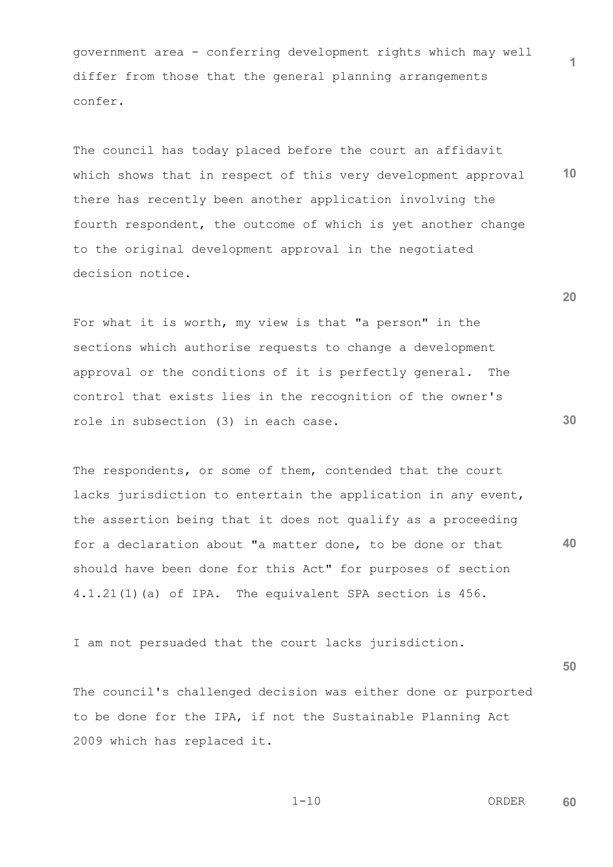government area - conferring development rights which may well differ from those that the general planning arrangements confer.

**10** The council has today placed before the court an affidavit which shows that in respect of this very development approval there has recently been another application involving the fourth respondent, the outcome of which is yet another change to the original development approval in the negotiated decision notice.

For what it is worth, my view is that "a person" in the sections which authorise requests to change a development approval or the conditions of it is perfectly general. The control that exists lies in the recognition of the owner's role in subsection (3) in each case.

**40** The respondents, or some of them, contended that the court lacks jurisdiction to entertain the application in any event, the assertion being that it does not qualify as a proceeding for a declaration about "a matter done, to be done or that should have been done for this Act" for purposes of section 4.1.21(1)(a) of IPA. The equivalent SPA section is 456.

I am not persuaded that the court lacks jurisdiction.

The council's challenged decision was either done or purported to be done for the IPA, if not the Sustainable Planning Act 2009 which has replaced it.

$$
1\!-\!10
$$

 1-10 ORDER **60**

**20**

**1**

**30**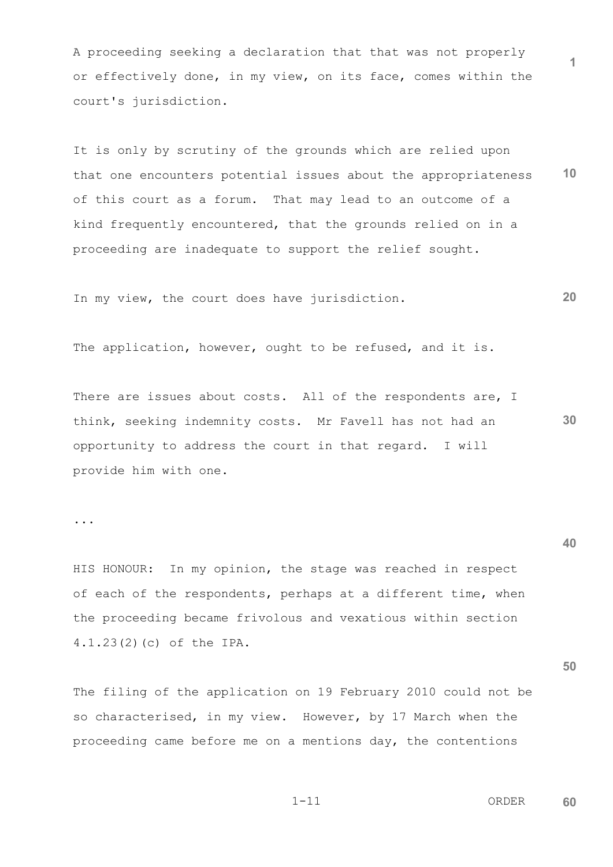A proceeding seeking a declaration that that was not properly or effectively done, in my view, on its face, comes within the court's jurisdiction.

**10** It is only by scrutiny of the grounds which are relied upon that one encounters potential issues about the appropriateness of this court as a forum. That may lead to an outcome of a kind frequently encountered, that the grounds relied on in a proceeding are inadequate to support the relief sought.

**20** In my view, the court does have jurisdiction.

The application, however, ought to be refused, and it is.

There are issues about costs. All of the respondents are, I think, seeking indemnity costs. Mr Favell has not had an opportunity to address the court in that regard. I will provide him with one.

...

HIS HONOUR: In my opinion, the stage was reached in respect of each of the respondents, perhaps at a different time, when the proceeding became frivolous and vexatious within section 4.1.23(2)(c) of the IPA.

The filing of the application on 19 February 2010 could not be so characterised, in my view. However, by 17 March when the proceeding came before me on a mentions day, the contentions

$$
1-1\,1
$$

 1-11 ORDER **60**

**1**

**40**

**50**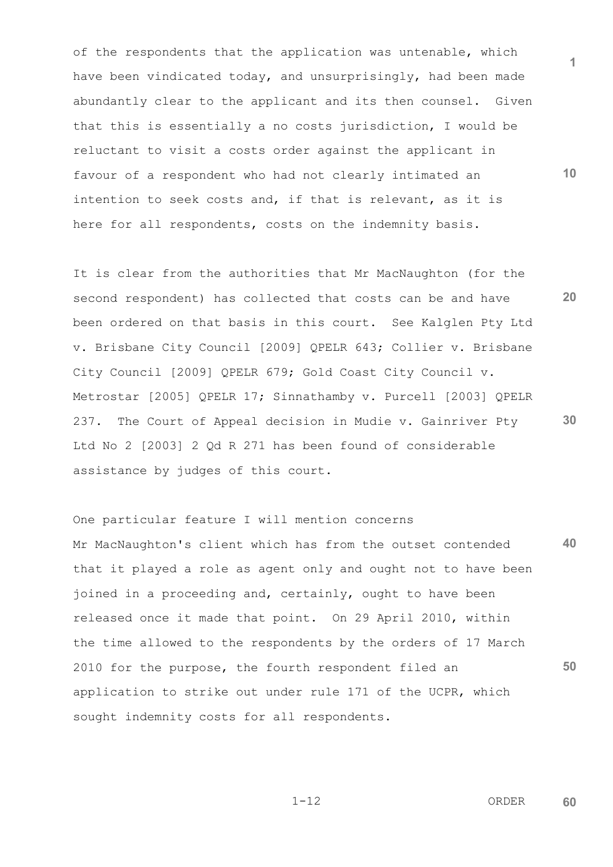of the respondents that the application was untenable, which have been vindicated today, and unsurprisingly, had been made abundantly clear to the applicant and its then counsel. Given that this is essentially a no costs jurisdiction, I would be reluctant to visit a costs order against the applicant in favour of a respondent who had not clearly intimated an intention to seek costs and, if that is relevant, as it is here for all respondents, costs on the indemnity basis.

**20 30** It is clear from the authorities that Mr MacNaughton (for the second respondent) has collected that costs can be and have been ordered on that basis in this court. See Kalglen Pty Ltd v. Brisbane City Council [2009] QPELR 643; Collier v. Brisbane City Council [2009] QPELR 679; Gold Coast City Council v. Metrostar [2005] QPELR 17; Sinnathamby v. Purcell [2003] QPELR 237. The Court of Appeal decision in Mudie v. Gainriver Pty Ltd No 2 [2003] 2 Od R 271 has been found of considerable assistance by judges of this court.

**40 50** One particular feature I will mention concerns Mr MacNaughton's client which has from the outset contended that it played a role as agent only and ought not to have been joined in a proceeding and, certainly, ought to have been released once it made that point. On 29 April 2010, within the time allowed to the respondents by the orders of 17 March 2010 for the purpose, the fourth respondent filed an application to strike out under rule 171 of the UCPR, which sought indemnity costs for all respondents.

 1-12 ORDER **60**

**1**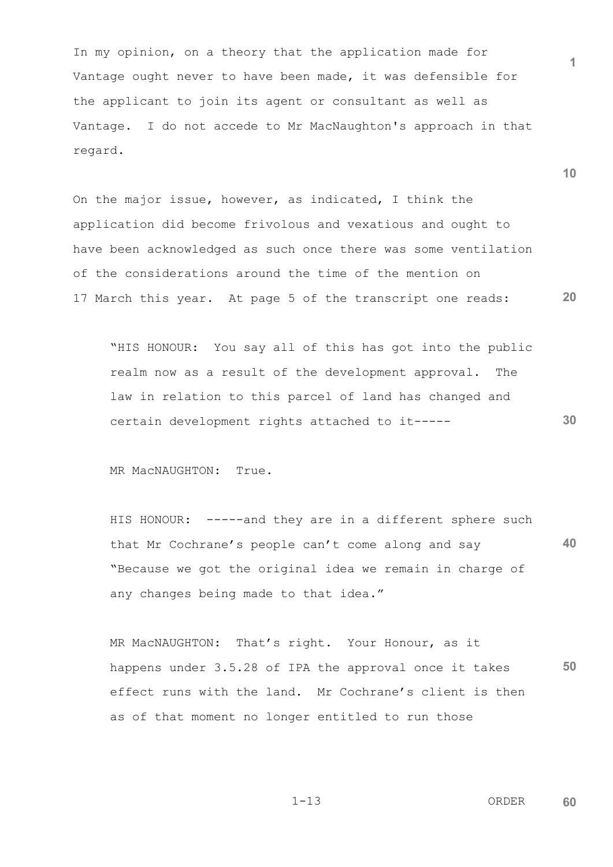In my opinion, on a theory that the application made for Vantage ought never to have been made, it was defensible for the applicant to join its agent or consultant as well as Vantage. I do not accede to Mr MacNaughton's approach in that regard.

**20** On the major issue, however, as indicated, I think the application did become frivolous and vexatious and ought to have been acknowledged as such once there was some ventilation of the considerations around the time of the mention on 17 March this year. At page 5 of the transcript one reads:

"HIS HONOUR: You say all of this has got into the public realm now as a result of the development approval. The law in relation to this parcel of land has changed and certain development rights attached to it-----

MR MacNAUGHTON: True.

**40** HIS HONOUR: -----and they are in a different sphere such that Mr Cochrane's people can't come along and say "Because we got the original idea we remain in charge of any changes being made to that idea."

**50** MR MacNAUGHTON: That's right. Your Honour, as it happens under 3.5.28 of IPA the approval once it takes effect runs with the land. Mr Cochrane's client is then as of that moment no longer entitled to run those

**10**

**30**